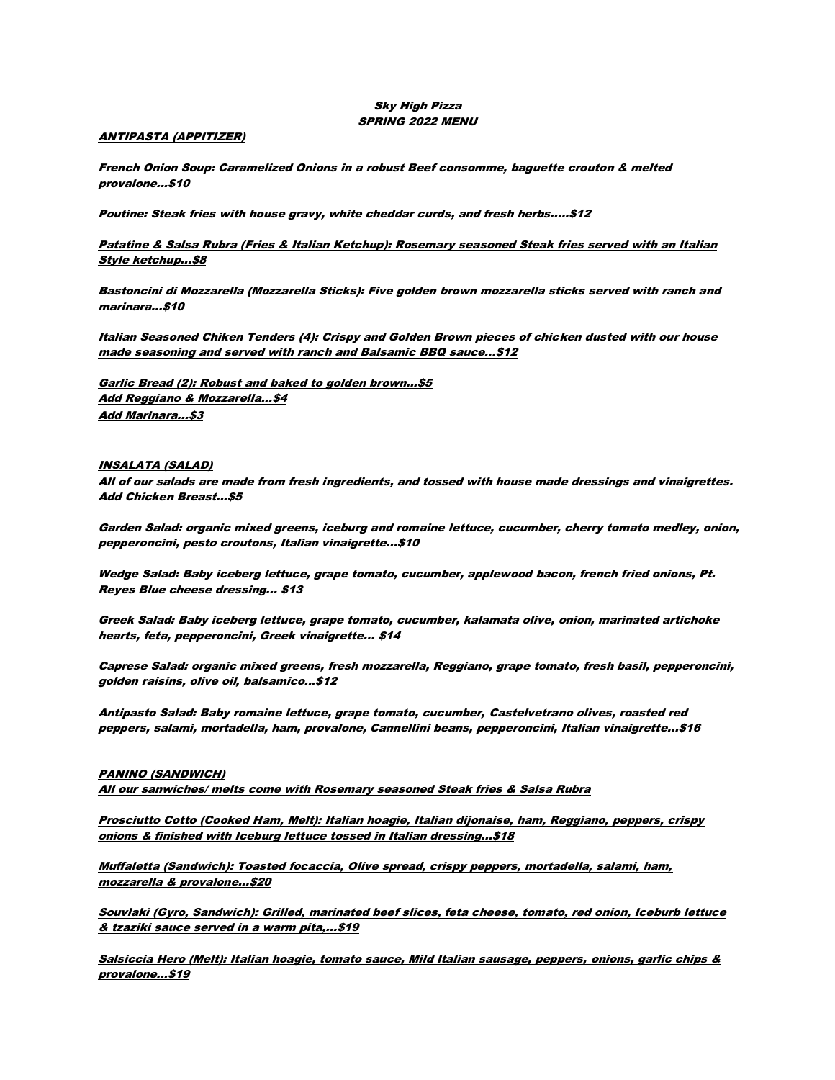## Sky High Pizza SPRING 2022 MENU

## ANTIPASTA (APPITIZER)

French Onion Soup: Caramelized Onions in a robust Beef consomme, baguette crouton & melted provalone...\$10

Poutine: Steak fries with house gravy, white cheddar curds, and fresh herbs.....\$12

Patatine & Salsa Rubra (Fries & Italian Ketchup): Rosemary seasoned Steak fries served with an Italian Style ketchup...\$8

Bastoncini di Mozzarella (Mozzarella Sticks): Five golden brown mozzarella sticks served with ranch and marinara...\$10

Italian Seasoned Chiken Tenders (4): Crispy and Golden Brown pieces of chicken dusted with our house made seasoning and served with ranch and Balsamic BBQ sauce...\$12

Garlic Bread (2): Robust and baked to golden brown...\$5 Add Reggiano & Mozzarella...\$4 Add Marinara...\$3

### INSALATA (SALAD)

All of our salads are made from fresh ingredients, and tossed with house made dressings and vinaigrettes. Add Chicken Breast...\$5

Garden Salad: organic mixed greens, iceburg and romaine lettuce, cucumber, cherry tomato medley, onion, pepperoncini, pesto croutons, Italian vinaigrette...\$10

Wedge Salad: Baby iceberg lettuce, grape tomato, cucumber, applewood bacon, french fried onions, Pt. Reyes Blue cheese dressing... \$13

Greek Salad: Baby iceberg lettuce, grape tomato, cucumber, kalamata olive, onion, marinated artichoke hearts, feta, pepperoncini, Greek vinaigrette... \$14

Caprese Salad: organic mixed greens, fresh mozzarella, Reggiano, grape tomato, fresh basil, pepperoncini, golden raisins, olive oil, balsamico...\$12

Antipasto Salad: Baby romaine lettuce, grape tomato, cucumber, Castelvetrano olives, roasted red peppers, salami, mortadella, ham, provalone, Cannellini beans, pepperoncini, Italian vinaigrette...\$16

#### PANINO (SANDWICH)

All our sanwiches/ melts come with Rosemary seasoned Steak fries & Salsa Rubra

Prosciutto Cotto (Cooked Ham, Melt): Italian hoagie, Italian dijonaise, ham, Reggiano, peppers, crispy onions & finished with Iceburg lettuce tossed in Italian dressing...\$18

Muffaletta (Sandwich): Toasted focaccia, Olive spread, crispy peppers, mortadella, salami, ham, mozzarella & provalone...\$20

Souvlaki (Gyro, Sandwich): Grilled, marinated beef slices, feta cheese, tomato, red onion, Iceburb lettuce & tzaziki sauce served in a warm pita,...\$19

Salsiccia Hero (Melt): Italian hoagie, tomato sauce, Mild Italian sausage, peppers, onions, garlic chips & provalone...\$19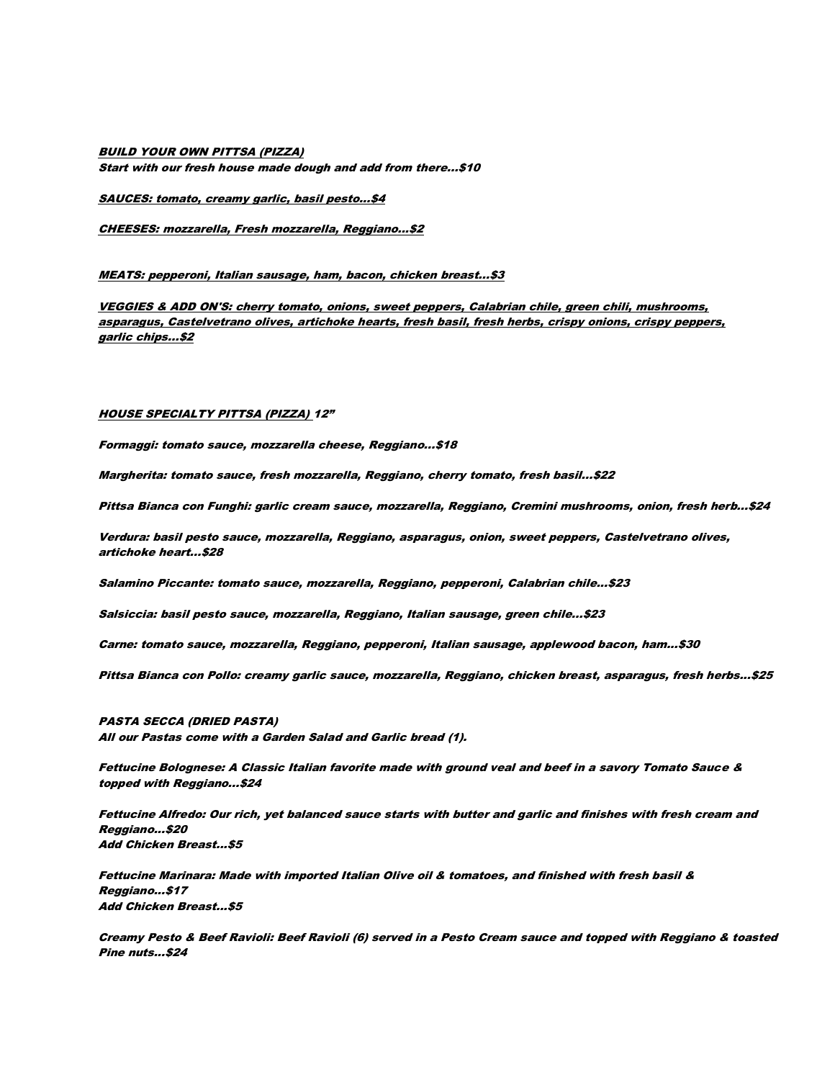# BUILD YOUR OWN PITTSA (PIZZA) Start with our fresh house made dough and add from there...\$10

SAUCES: tomato, creamy garlic, basil pesto...\$4

CHEESES: mozzarella, Fresh mozzarella, Reggiano...\$2

MEATS: pepperoni, Italian sausage, ham, bacon, chicken breast...\$3

VEGGIES & ADD ON'S: cherry tomato, onions, sweet peppers, Calabrian chile, green chili, mushrooms, asparagus, Castelvetrano olives, artichoke hearts, fresh basil, fresh herbs, crispy onions, crispy peppers, garlic chips...\$2

#### HOUSE SPECIALTY PITTSA (PIZZA) 12"

Formaggi: tomato sauce, mozzarella cheese, Reggiano...\$18

Margherita: tomato sauce, fresh mozzarella, Reggiano, cherry tomato, fresh basil...\$22

Pittsa Bianca con Funghi: garlic cream sauce, mozzarella, Reggiano, Cremini mushrooms, onion, fresh herb...\$24

Verdura: basil pesto sauce, mozzarella, Reggiano, asparagus, onion, sweet peppers, Castelvetrano olives, artichoke heart...\$28

Salamino Piccante: tomato sauce, mozzarella, Reggiano, pepperoni, Calabrian chile...\$23

Salsiccia: basil pesto sauce, mozzarella, Reggiano, Italian sausage, green chile...\$23

Carne: tomato sauce, mozzarella, Reggiano, pepperoni, Italian sausage, applewood bacon, ham...\$30

Pittsa Bianca con Pollo: creamy garlic sauce, mozzarella, Reggiano, chicken breast, asparagus, fresh herbs...\$25

PASTA SECCA (DRIED PASTA) All our Pastas come with a Garden Salad and Garlic bread (1).

Fettucine Bolognese: A Classic Italian favorite made with ground veal and beef in a savory Tomato Sauce & topped with Reggiano...\$24

Fettucine Alfredo: Our rich, yet balanced sauce starts with butter and garlic and finishes with fresh cream and Reggiano...\$20 Add Chicken Breast...\$5

Fettucine Marinara: Made with imported Italian Olive oil & tomatoes, and finished with fresh basil & Reggiano...\$17 Add Chicken Breast...\$5

Creamy Pesto & Beef Ravioli: Beef Ravioli (6) served in a Pesto Cream sauce and topped with Reggiano & toasted Pine nuts...\$24